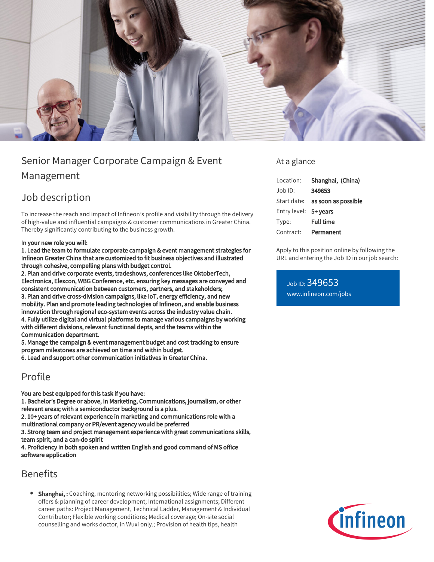

# Senior Manager Corporate Campaign & Event Management

# Job description

To increase the reach and impact of Infineon's profile and visibility through the delivery of high-value and influential campaigns & customer communications in Greater China. Thereby significantly contributing to the business growth.

#### In your new role you will:

1. Lead the team to formulate corporate campaign & event management strategies for Infineon Greater China that are customized to fit business objectives and illustrated through cohesive, compelling plans with budget control.

2. Plan and drive corporate events, tradeshows, conferences like OktoberTech, Electronica, Elexcon, WBG Conference, etc. ensuring key messages are conveyed and consistent communication between customers, partners, and stakeholders; 3. Plan and drive cross-division campaigns, like IoT, energy efficiency, and new mobility. Plan and promote leading technologies of Infineon, and enable business innovation through regional eco-system events across the industry value chain. 4. Fully utilize digital and virtual platforms to manage various campaigns by working with different divisions, relevant functional depts, and the teams within the Communication department.

5. Manage the campaign & event management budget and cost tracking to ensure program milestones are achieved on time and within budget.

6. Lead and support other communication initiatives in Greater China.

### Profile

You are best equipped for this task if you have:

1. Bachelor's Degree or above, in Marketing, Communications, journalism, or other relevant areas; with a semiconductor background is a plus.

2. 10+ years of relevant experience in marketing and communications role with a multinational company or PR/event agency would be preferred

3. Strong team and project management experience with great communications skills, team spirit, and a can-do spirit

4. Proficiency in both spoken and written English and good command of MS office software application

## Benefits

**• Shanghai,:** Coaching, mentoring networking possibilities; Wide range of training offers & planning of career development; International assignments; Different career paths: Project Management, Technical Ladder, Management & Individual Contributor; Flexible working conditions; Medical coverage; On-site social counselling and works doctor, in Wuxi only.; Provision of health tips, health

### At a glance

| Location:             | Shanghai, (China)                      |
|-----------------------|----------------------------------------|
| $Job$ ID:             | 349653                                 |
|                       | Start date: <b>as soon as possible</b> |
| Entry level: 5+ years |                                        |
| Type:                 | <b>Full time</b>                       |
| Contract:             | Permanent                              |

Apply to this position online by following the URL and entering the Job ID in our job search:

Job ID: 349653 [www.infineon.com/jobs](https://www.infineon.com/jobs)